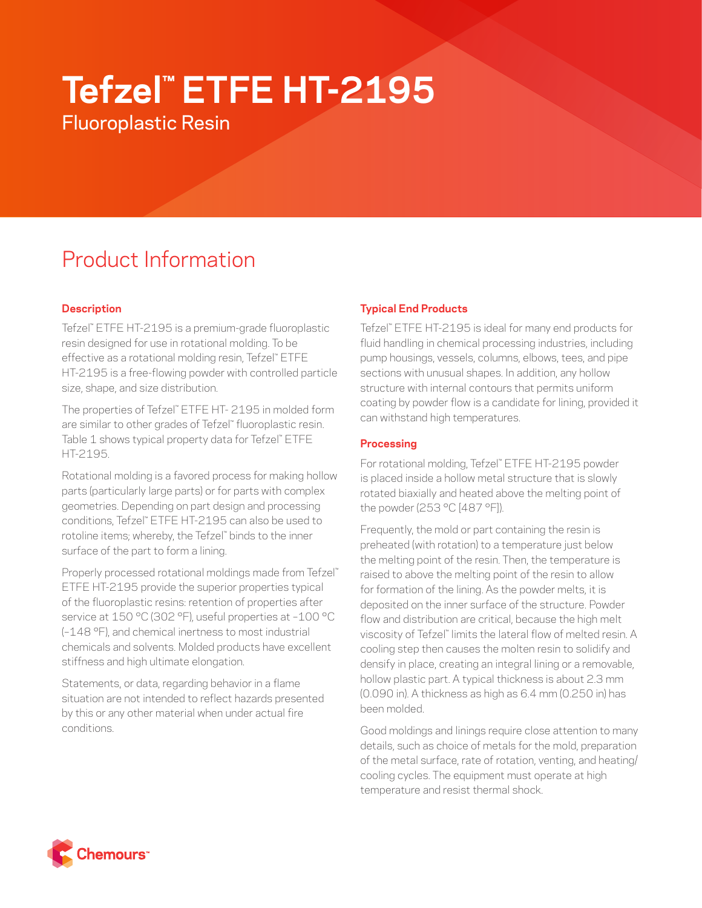# **Tefzel™ ETFE HT-2195**

Fluoroplastic Resin

# Product Information

# **Description**

Tefzel™ ETFE HT-2195 is a premium-grade fluoroplastic resin designed for use in rotational molding. To be effective as a rotational molding resin, Tefzel™ ETFE HT-2195 is a free-flowing powder with controlled particle size, shape, and size distribution.

The properties of Tefzel™ ETFE HT- 2195 in molded form are similar to other grades of Tefzel™ fluoroplastic resin. Table 1 shows typical property data for Tefzel™ ETFE HT-2195.

Rotational molding is a favored process for making hollow parts (particularly large parts) or for parts with complex geometries. Depending on part design and processing conditions, Tefzel™ ETFE HT-2195 can also be used to rotoline items; whereby, the Tefzel™ binds to the inner surface of the part to form a lining.

Properly processed rotational moldings made from Tefzel™ ETFE HT-2195 provide the superior properties typical of the fluoroplastic resins: retention of properties after service at 150 °C (302 °F), useful properties at –100 °C (–148 °F), and chemical inertness to most industrial chemicals and solvents. Molded products have excellent stiffness and high ultimate elongation.

Statements, or data, regarding behavior in a flame situation are not intended to reflect hazards presented by this or any other material when under actual fire conditions.

# **Typical End Products**

Tefzel™ ETFE HT-2195 is ideal for many end products for fluid handling in chemical processing industries, including pump housings, vessels, columns, elbows, tees, and pipe sections with unusual shapes. In addition, any hollow structure with internal contours that permits uniform coating by powder flow is a candidate for lining, provided it can withstand high temperatures.

### **Processing**

For rotational molding, Tefzel™ ETFE HT-2195 powder is placed inside a hollow metal structure that is slowly rotated biaxially and heated above the melting point of the powder (253 °C [487 °F]).

Frequently, the mold or part containing the resin is preheated (with rotation) to a temperature just below the melting point of the resin. Then, the temperature is raised to above the melting point of the resin to allow for formation of the lining. As the powder melts, it is deposited on the inner surface of the structure. Powder flow and distribution are critical, because the high melt viscosity of Tefzel™ limits the lateral flow of melted resin. A cooling step then causes the molten resin to solidify and densify in place, creating an integral lining or a removable, hollow plastic part. A typical thickness is about 2.3 mm (0.090 in). A thickness as high as 6.4 mm (0.250 in) has been molded.

Good moldings and linings require close attention to many details, such as choice of metals for the mold, preparation of the metal surface, rate of rotation, venting, and heating/ cooling cycles. The equipment must operate at high temperature and resist thermal shock.

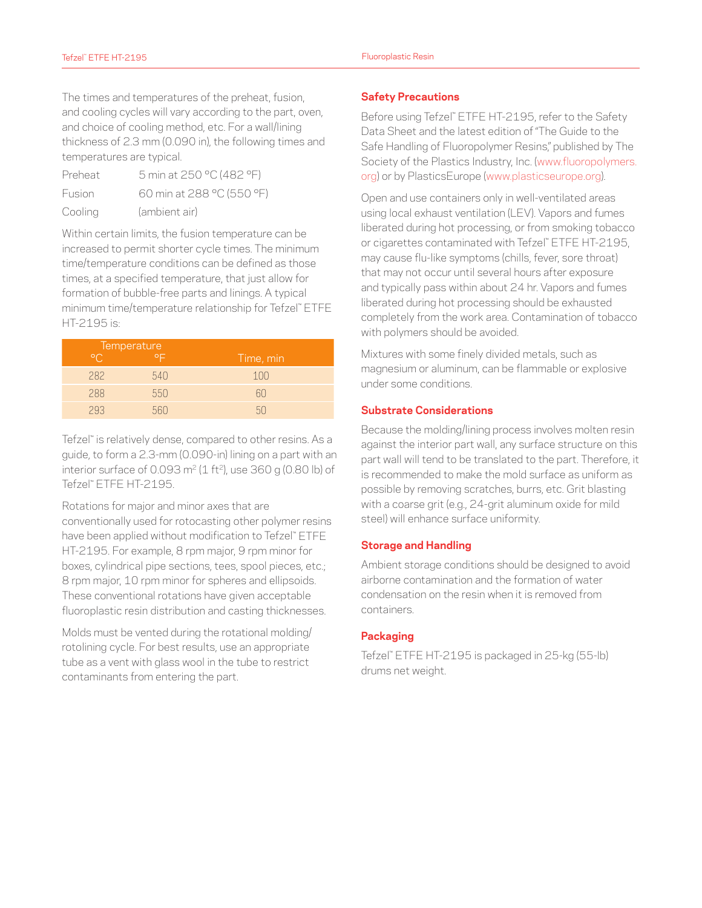The times and temperatures of the preheat, fusion, and cooling cycles will vary according to the part, oven, and choice of cooling method, etc. For a wall/lining thickness of 2.3 mm (0.090 in), the following times and temperatures are typical.

| Preheat | 5 min at 250 °C (482 °F)  |
|---------|---------------------------|
| Fusion  | 60 min at 288 °C (550 °F) |
| Cooling | (ambient air)             |

Within certain limits, the fusion temperature can be increased to permit shorter cycle times. The minimum time/temperature conditions can be defined as those times, at a specified temperature, that just allow for formation of bubble-free parts and linings. A typical minimum time/temperature relationship for Tefzel™ ETFE HT-2195 is:

|         | Temperature  |           |
|---------|--------------|-----------|
| $\circ$ | $\circ \Box$ | Time, min |
| 282     | 540          | 100       |
| 288     | 550          | n         |
| 293     |              |           |

Tefzel™ is relatively dense, compared to other resins. As a guide, to form a 2.3-mm (0.090-in) lining on a part with an interior surface of 0.093 m<sup>2</sup> (1 ft<sup>2</sup>), use 360 g (0.80 lb) of Tefzel™ ETFE HT-2195.

Rotations for major and minor axes that are conventionally used for rotocasting other polymer resins have been applied without modification to Tefzel™ ETFE HT-2195. For example, 8 rpm major, 9 rpm minor for boxes, cylindrical pipe sections, tees, spool pieces, etc.; 8 rpm major, 10 rpm minor for spheres and ellipsoids. These conventional rotations have given acceptable fluoroplastic resin distribution and casting thicknesses.

Molds must be vented during the rotational molding/ rotolining cycle. For best results, use an appropriate tube as a vent with glass wool in the tube to restrict contaminants from entering the part.

#### **Safety Precautions**

Before using Tefzel™ ETFE HT-2195, refer to the Safety Data Sheet and the latest edition of "The Guide to the Safe Handling of Fluoropolymer Resins," published by The Society of the Plastics Industry, Inc. ([www.fluoropolymers.](http://www.fluoropolymers.org) [org\)](http://www.fluoropolymers.org) or by PlasticsEurope [\(www.plasticseurope.org\)](http://www.plasticseurope.org).

Open and use containers only in well-ventilated areas using local exhaust ventilation (LEV). Vapors and fumes liberated during hot processing, or from smoking tobacco or cigarettes contaminated with Tefzel™ ETFE HT-2195, may cause flu-like symptoms (chills, fever, sore throat) that may not occur until several hours after exposure and typically pass within about 24 hr. Vapors and fumes liberated during hot processing should be exhausted completely from the work area. Contamination of tobacco with polymers should be avoided.

Mixtures with some finely divided metals, such as magnesium or aluminum, can be flammable or explosive under some conditions.

#### **Substrate Considerations**

Because the molding/lining process involves molten resin against the interior part wall, any surface structure on this part wall will tend to be translated to the part. Therefore, it is recommended to make the mold surface as uniform as possible by removing scratches, burrs, etc. Grit blasting with a coarse grit (e.g., 24-grit aluminum oxide for mild steel) will enhance surface uniformity.

#### **Storage and Handling**

Ambient storage conditions should be designed to avoid airborne contamination and the formation of water condensation on the resin when it is removed from containers.

#### **Packaging**

Tefzel™ ETFE HT-2195 is packaged in 25-kg (55-lb) drums net weight.